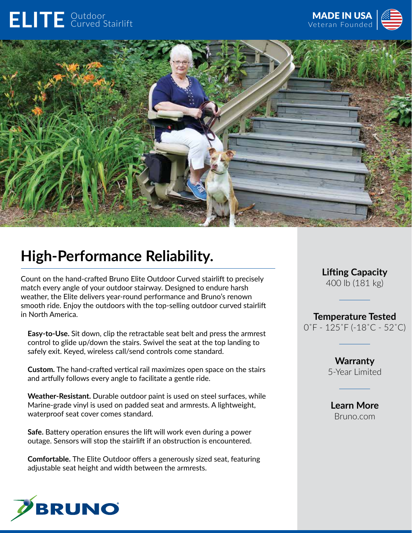## ELITE **Outdoor**





## **High-Performance Reliability.**

Count on the hand-crafted Bruno Elite Outdoor Curved stairlift to precisely match every angle of your outdoor stairway. Designed to endure harsh weather, the Elite delivers year-round performance and Bruno's renown smooth ride. Enjoy the outdoors with the top-selling outdoor curved stairlift in North America.

**Easy-to-Use.** Sit down, clip the retractable seat belt and press the armrest control to glide up/down the stairs. Swivel the seat at the top landing to safely exit. Keyed, wireless call/send controls come standard.

**Custom.** The hand-crafted vertical rail maximizes open space on the stairs and artfully follows every angle to facilitate a gentle ride.

**Weather-Resistant.** Durable outdoor paint is used on steel surfaces, while Marine-grade vinyl is used on padded seat and armrests. A lightweight, waterproof seat cover comes standard.

**Safe.** Battery operation ensures the lift will work even during a power outage. Sensors will stop the stairlift if an obstruction is encountered.

**Comfortable.** The Elite Outdoor offers a generously sized seat, featuring adjustable seat height and width between the armrests.



**Lifting Capacity** 400 lb (181 kg)

**Temperature Tested** 0˚F - 125˚F (-18˚C - 52˚C)

> **Warranty** 5-Year Limited

**Learn More** Bruno.com